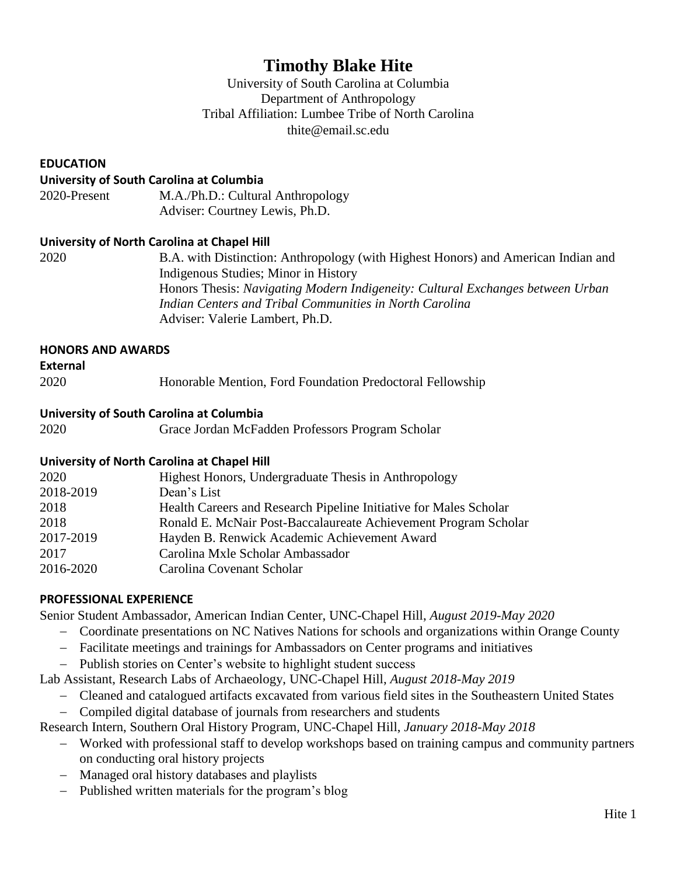# **Timothy Blake Hite**

University of South Carolina at Columbia Department of Anthropology Tribal Affiliation: Lumbee Tribe of North Carolina thite@email.sc.edu

### **EDUCATION**

#### **University of South Carolina at Columbia**

| 2020-Present | M.A./Ph.D.: Cultural Anthropology |
|--------------|-----------------------------------|
|              | Adviser: Courtney Lewis, Ph.D.    |

#### **University of North Carolina at Chapel Hill**

2020 B.A. with Distinction: Anthropology (with Highest Honors) and American Indian and Indigenous Studies; Minor in History Honors Thesis: *Navigating Modern Indigeneity: Cultural Exchanges between Urban Indian Centers and Tribal Communities in North Carolina* Adviser: Valerie Lambert, Ph.D.

#### **HONORS AND AWARDS**

#### **External**

2020 Honorable Mention, Ford Foundation Predoctoral Fellowship

#### **University of South Carolina at Columbia**

2020 Grace Jordan McFadden Professors Program Scholar

#### **University of North Carolina at Chapel Hill**

| 2020      | Highest Honors, Undergraduate Thesis in Anthropology              |
|-----------|-------------------------------------------------------------------|
| 2018-2019 | Dean's List                                                       |
| 2018      | Health Careers and Research Pipeline Initiative for Males Scholar |
| 2018      | Ronald E. McNair Post-Baccalaureate Achievement Program Scholar   |
| 2017-2019 | Hayden B. Renwick Academic Achievement Award                      |
| 2017      | Carolina Mxle Scholar Ambassador                                  |
| 2016-2020 | Carolina Covenant Scholar                                         |
|           |                                                                   |

#### **PROFESSIONAL EXPERIENCE**

Senior Student Ambassador, American Indian Center, UNC-Chapel Hill, *August 2019-May 2020*

- − Coordinate presentations on NC Natives Nations for schools and organizations within Orange County
- − Facilitate meetings and trainings for Ambassadors on Center programs and initiatives
- − Publish stories on Center's website to highlight student success

Lab Assistant, Research Labs of Archaeology, UNC-Chapel Hill, *August 2018-May 2019*

− Cleaned and catalogued artifacts excavated from various field sites in the Southeastern United States − Compiled digital database of journals from researchers and students

Research Intern, Southern Oral History Program, UNC-Chapel Hill, *January 2018-May 2018*

- − Worked with professional staff to develop workshops based on training campus and community partners on conducting oral history projects
- − Managed oral history databases and playlists
- − Published written materials for the program's blog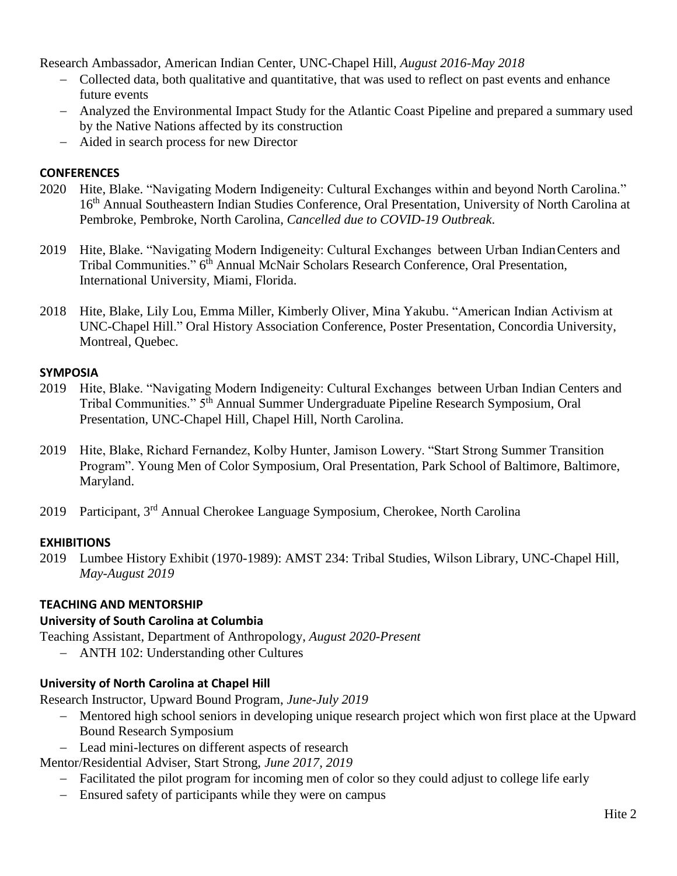Research Ambassador, American Indian Center, UNC-Chapel Hill, *August 2016-May 2018*

- − Collected data, both qualitative and quantitative, that was used to reflect on past events and enhance future events
- − Analyzed the Environmental Impact Study for the Atlantic Coast Pipeline and prepared a summary used by the Native Nations affected by its construction
- − Aided in search process for new Director

# **CONFERENCES**

- 2020 Hite, Blake. "Navigating Modern Indigeneity: Cultural Exchanges within and beyond North Carolina." 16<sup>th</sup> Annual Southeastern Indian Studies Conference, Oral Presentation, University of North Carolina at Pembroke, Pembroke, North Carolina, *Cancelled due to COVID-19 Outbreak*.
- 2019 Hite, Blake. "Navigating Modern Indigeneity: Cultural Exchanges between Urban IndianCenters and Tribal Communities." 6<sup>th</sup> Annual McNair Scholars Research Conference, Oral Presentation, International University, Miami, Florida.
- 2018 Hite, Blake, Lily Lou, Emma Miller, Kimberly Oliver, Mina Yakubu. "American Indian Activism at UNC-Chapel Hill." Oral History Association Conference, Poster Presentation, Concordia University, Montreal, Quebec.

# **SYMPOSIA**

- 2019 Hite, Blake. "Navigating Modern Indigeneity: Cultural Exchanges between Urban Indian Centers and Tribal Communities." 5th Annual Summer Undergraduate Pipeline Research Symposium, Oral Presentation, UNC-Chapel Hill, Chapel Hill, North Carolina.
- 2019 Hite, Blake, Richard Fernandez, Kolby Hunter, Jamison Lowery. "Start Strong Summer Transition Program". Young Men of Color Symposium, Oral Presentation, Park School of Baltimore, Baltimore, Maryland.
- 2019 Participant, 3<sup>rd</sup> Annual Cherokee Language Symposium, Cherokee, North Carolina

# **EXHIBITIONS**

2019 Lumbee History Exhibit (1970-1989): AMST 234: Tribal Studies, Wilson Library, UNC-Chapel Hill, *May-August 2019*

# **TEACHING AND MENTORSHIP**

# **University of South Carolina at Columbia**

Teaching Assistant, Department of Anthropology, *August 2020-Present*

− ANTH 102: Understanding other Cultures

# **University of North Carolina at Chapel Hill**

Research Instructor, Upward Bound Program, *June-July 2019*

- − Mentored high school seniors in developing unique research project which won first place at the Upward Bound Research Symposium
- − Lead mini-lectures on different aspects of research
- Mentor/Residential Adviser, Start Strong, *June 2017, 2019*
	- − Facilitated the pilot program for incoming men of color so they could adjust to college life early
	- − Ensured safety of participants while they were on campus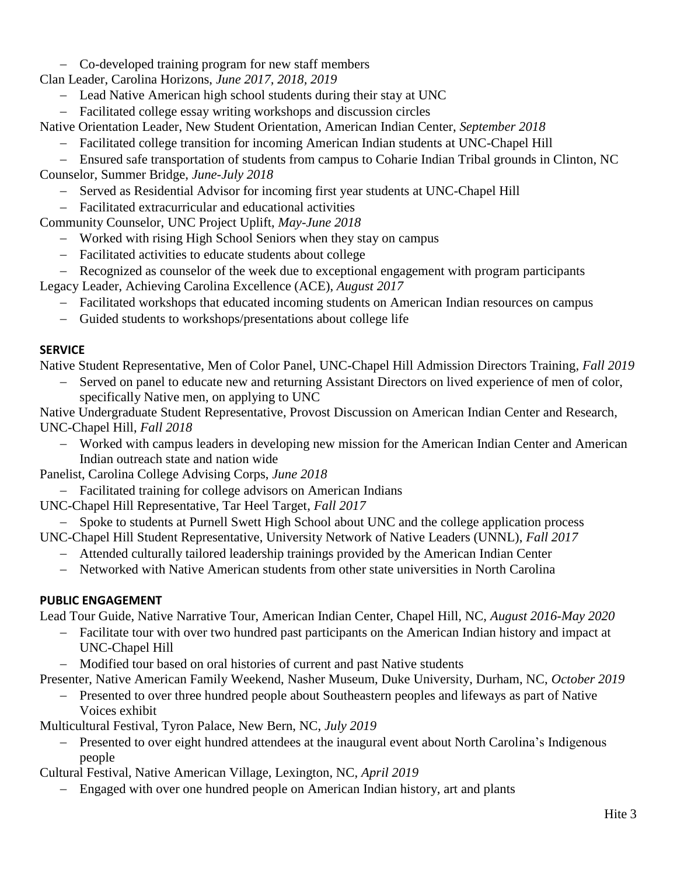- − Co-developed training program for new staff members
- Clan Leader, Carolina Horizons, *June 2017, 2018, 2019*
	- − Lead Native American high school students during their stay at UNC
	- − Facilitated college essay writing workshops and discussion circles

Native Orientation Leader, New Student Orientation, American Indian Center, *September 2018*

− Facilitated college transition for incoming American Indian students at UNC-Chapel Hill

− Ensured safe transportation of students from campus to Coharie Indian Tribal grounds in Clinton, NC

Counselor, Summer Bridge, *June-July 2018*

- − Served as Residential Advisor for incoming first year students at UNC-Chapel Hill
- − Facilitated extracurricular and educational activities

Community Counselor, UNC Project Uplift, *May-June 2018*

- − Worked with rising High School Seniors when they stay on campus
- − Facilitated activities to educate students about college
- − Recognized as counselor of the week due to exceptional engagement with program participants

Legacy Leader, Achieving Carolina Excellence (ACE), *August 2017*

- − Facilitated workshops that educated incoming students on American Indian resources on campus
- − Guided students to workshops/presentations about college life

# **SERVICE**

Native Student Representative, Men of Color Panel, UNC-Chapel Hill Admission Directors Training, *Fall 2019*

Served on panel to educate new and returning Assistant Directors on lived experience of men of color, specifically Native men, on applying to UNC

Native Undergraduate Student Representative, Provost Discussion on American Indian Center and Research, UNC-Chapel Hill, *Fall 2018*

− Worked with campus leaders in developing new mission for the American Indian Center and American Indian outreach state and nation wide

Panelist, Carolina College Advising Corps, *June 2018*

- − Facilitated training for college advisors on American Indians
- UNC-Chapel Hill Representative, Tar Heel Target, *Fall 2017*
- Spoke to students at Purnell Swett High School about UNC and the college application process

UNC-Chapel Hill Student Representative, University Network of Native Leaders (UNNL), *Fall 2017*

- − Attended culturally tailored leadership trainings provided by the American Indian Center
- − Networked with Native American students from other state universities in North Carolina

# **PUBLIC ENGAGEMENT**

Lead Tour Guide, Native Narrative Tour, American Indian Center, Chapel Hill, NC, *August 2016-May 2020*

- − Facilitate tour with over two hundred past participants on the American Indian history and impact at UNC-Chapel Hill
- − Modified tour based on oral histories of current and past Native students

Presenter, Native American Family Weekend, Nasher Museum, Duke University, Durham, NC, *October 2019*

− Presented to over three hundred people about Southeastern peoples and lifeways as part of Native Voices exhibit

Multicultural Festival, Tyron Palace, New Bern, NC, *July 2019*

Presented to over eight hundred attendees at the inaugural event about North Carolina's Indigenous people

Cultural Festival, Native American Village, Lexington, NC, *April 2019*

Engaged with over one hundred people on American Indian history, art and plants